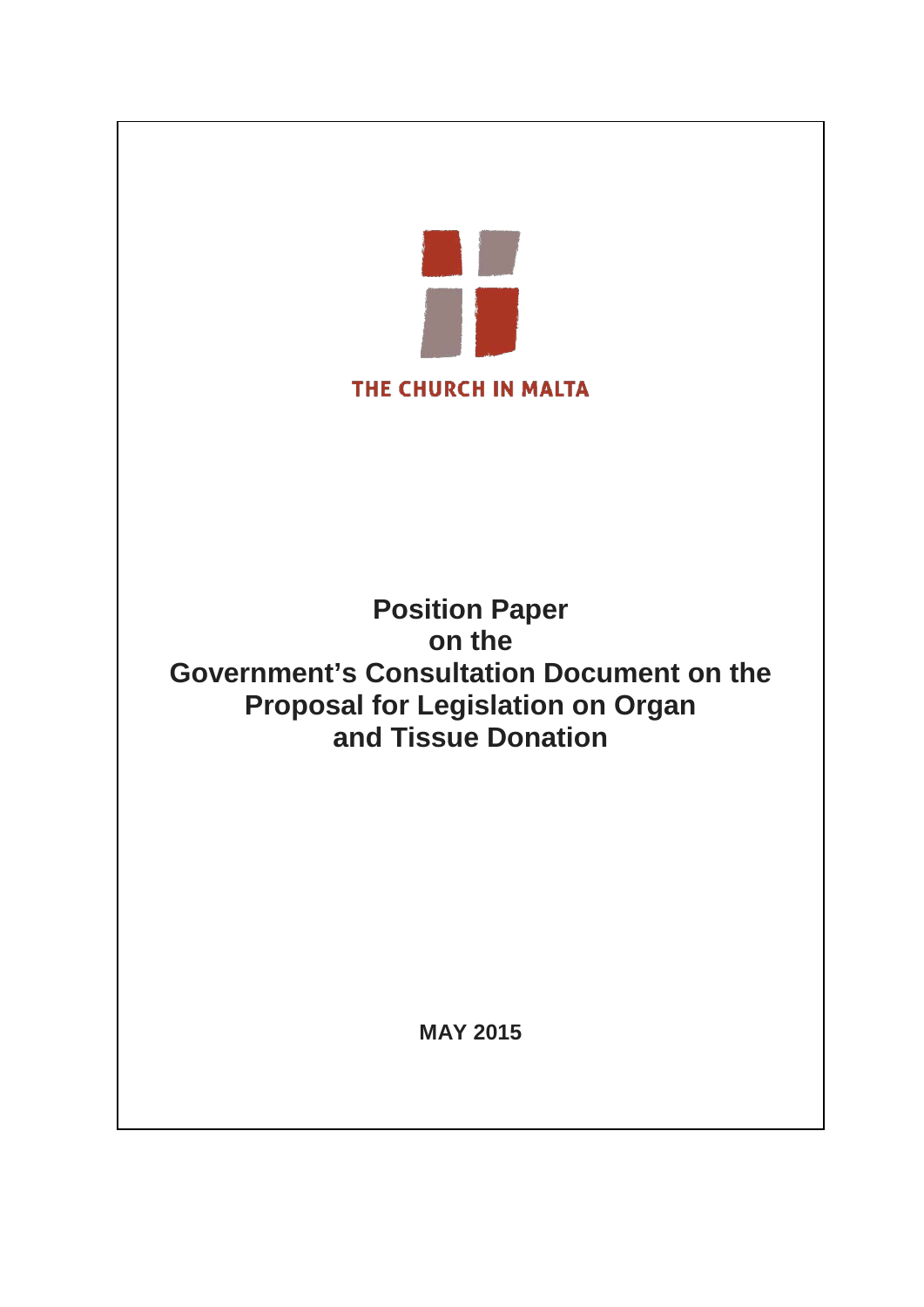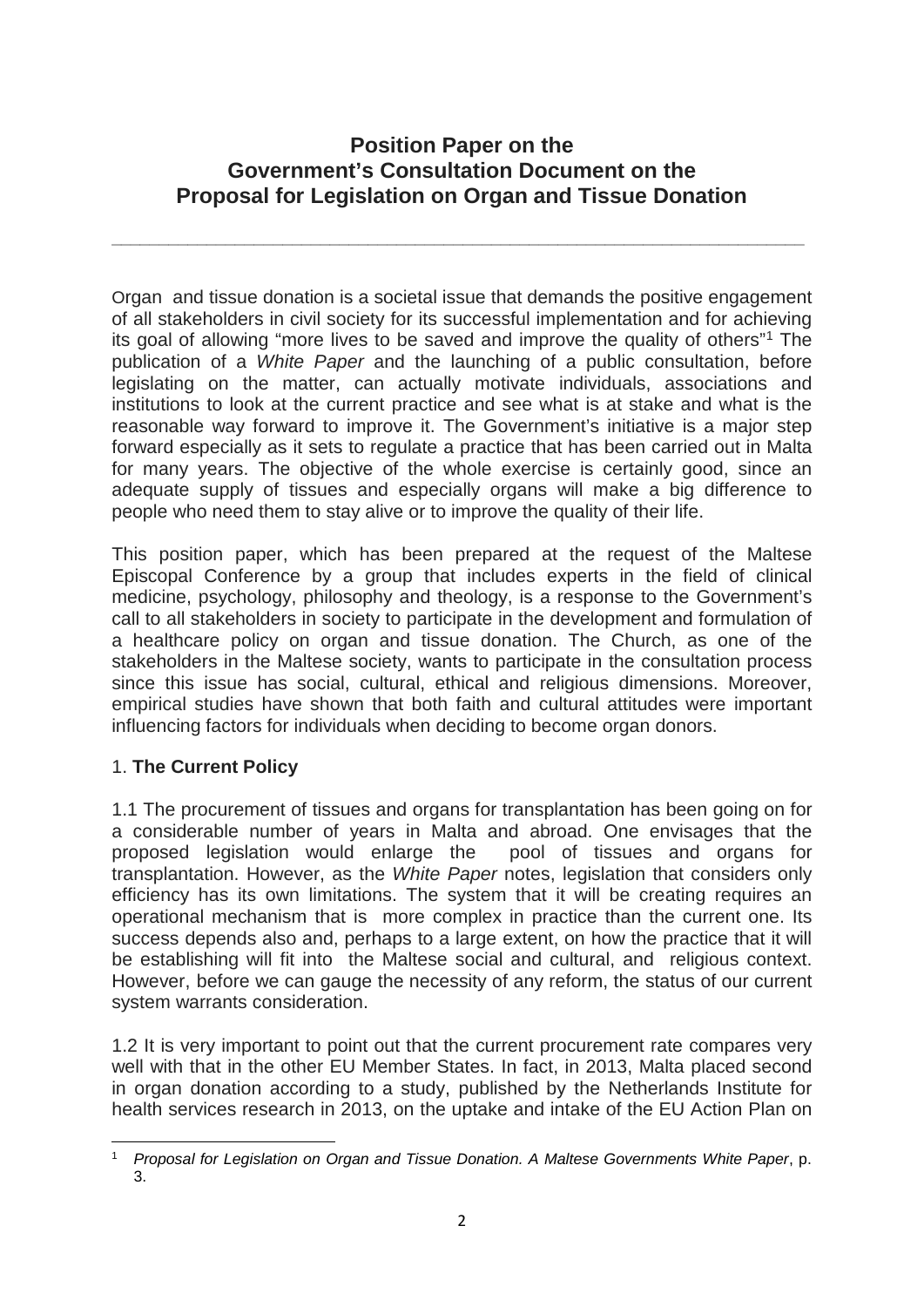# **Position Paper on the Government's Consultation Document on the Proposal for Legislation on Organ and Tissue Donation**

**\_\_\_\_\_\_\_\_\_\_\_\_\_\_\_\_\_\_\_\_\_\_\_\_\_\_\_\_\_\_\_\_\_\_\_\_\_\_\_\_\_\_\_\_\_\_\_\_\_\_\_\_\_\_\_\_\_\_\_\_\_\_\_\_\_\_\_\_\_\_\_\_\_**

Organ and tissue donation is a societal issue that demands the positive engagement of all stakeholders in civil society for its successful implementation and for achieving its goal of allowing "more lives to be saved and improve the quality of others"[1](#page-1-0) The publication of a *White Paper* and the launching of a public consultation, before legislating on the matter, can actually motivate individuals, associations and institutions to look at the current practice and see what is at stake and what is the reasonable way forward to improve it. The Government's initiative is a major step forward especially as it sets to regulate a practice that has been carried out in Malta for many years. The objective of the whole exercise is certainly good, since an adequate supply of tissues and especially organs will make a big difference to people who need them to stay alive or to improve the quality of their life.

This position paper, which has been prepared at the request of the Maltese Episcopal Conference by a group that includes experts in the field of clinical medicine, psychology, philosophy and theology, is a response to the Government's call to all stakeholders in society to participate in the development and formulation of a healthcare policy on organ and tissue donation. The Church, as one of the stakeholders in the Maltese society, wants to participate in the consultation process since this issue has social, cultural, ethical and religious dimensions. Moreover, empirical studies have shown that both faith and cultural attitudes were important influencing factors for individuals when deciding to become organ donors.

# 1. **The Current Policy**

1.1 The procurement of tissues and organs for transplantation has been going on for a considerable number of years in Malta and abroad. One envisages that the proposed legislation would enlarge the pool of tissues and organs for transplantation. However, as the *White Paper* notes, legislation that considers only efficiency has its own limitations. The system that it will be creating requires an operational mechanism that is more complex in practice than the current one. Its success depends also and, perhaps to a large extent, on how the practice that it will be establishing will fit into the Maltese social and cultural, and religious context. However, before we can gauge the necessity of any reform, the status of our current system warrants consideration.

1.2 It is very important to point out that the current procurement rate compares very well with that in the other EU Member States. In fact, in 2013, Malta placed second in organ donation according to a study, published by the Netherlands Institute for health services research in 2013, on the uptake and intake of the EU Action Plan on

<span id="page-1-0"></span><sup>1</sup> *Proposal for Legislation on Organ and Tissue Donation. A Maltese Governments White Paper*, p. 3.  $\overline{a}$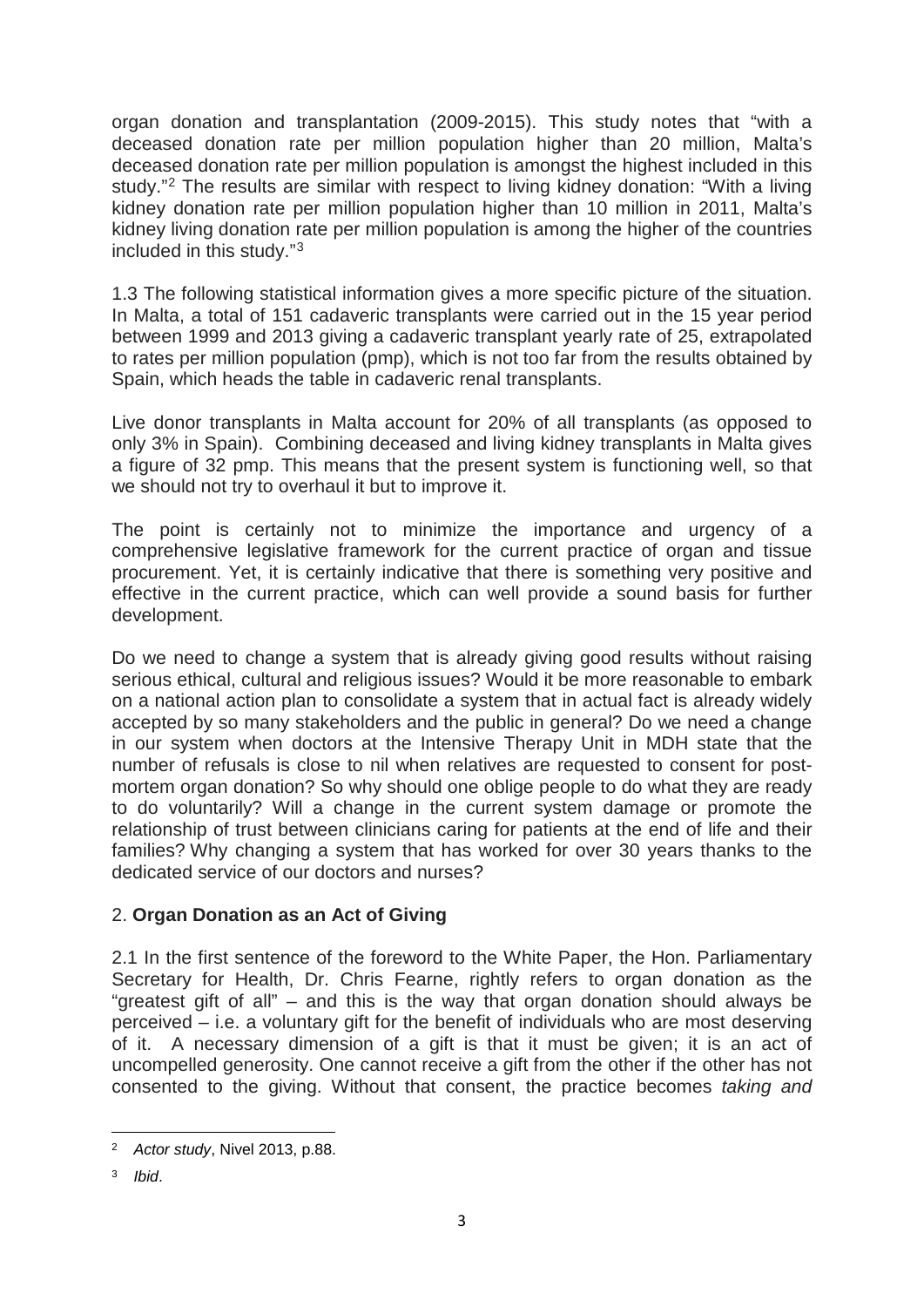organ donation and transplantation (2009-2015). This study notes that "with a deceased donation rate per million population higher than 20 million, Malta's deceased donation rate per million population is amongst the highest included in this study.["2](#page-2-0) The results are similar with respect to living kidney donation: "With a living kidney donation rate per million population higher than 10 million in 2011, Malta's kidney living donation rate per million population is among the higher of the countries included in this study."[3](#page-2-1)

1.3 The following statistical information gives a more specific picture of the situation. In Malta, a total of 151 cadaveric transplants were carried out in the 15 year period between 1999 and 2013 giving a cadaveric transplant yearly rate of 25, extrapolated to rates per million population (pmp), which is not too far from the results obtained by Spain, which heads the table in cadaveric renal transplants.

Live donor transplants in Malta account for 20% of all transplants (as opposed to only 3% in Spain). Combining deceased and living kidney transplants in Malta gives a figure of 32 pmp. This means that the present system is functioning well, so that we should not try to overhaul it but to improve it.

The point is certainly not to minimize the importance and urgency of a comprehensive legislative framework for the current practice of organ and tissue procurement. Yet, it is certainly indicative that there is something very positive and effective in the current practice, which can well provide a sound basis for further development.

Do we need to change a system that is already giving good results without raising serious ethical, cultural and religious issues? Would it be more reasonable to embark on a national action plan to consolidate a system that in actual fact is already widely accepted by so many stakeholders and the public in general? Do we need a change in our system when doctors at the Intensive Therapy Unit in MDH state that the number of refusals is close to nil when relatives are requested to consent for postmortem organ donation? So why should one oblige people to do what they are ready to do voluntarily? Will a change in the current system damage or promote the relationship of trust between clinicians caring for patients at the end of life and their families? Why changing a system that has worked for over 30 years thanks to the dedicated service of our doctors and nurses?

# 2. **Organ Donation as an Act of Giving**

2.1 In the first sentence of the foreword to the White Paper, the Hon. Parliamentary Secretary for Health, Dr. Chris Fearne, rightly refers to organ donation as the "greatest gift of all" – and this is the way that organ donation should always be perceived – i.e. a voluntary gift for the benefit of individuals who are most deserving of it. A necessary dimension of a gift is that it must be given; it is an act of uncompelled generosity. One cannot receive a gift from the other if the other has not consented to the giving. Without that consent, the practice becomes *taking and* 

<sup>2</sup> *Actor study*, Nivel 2013, p.88.  $\overline{a}$ 

<span id="page-2-1"></span><span id="page-2-0"></span><sup>3</sup> *Ibid*.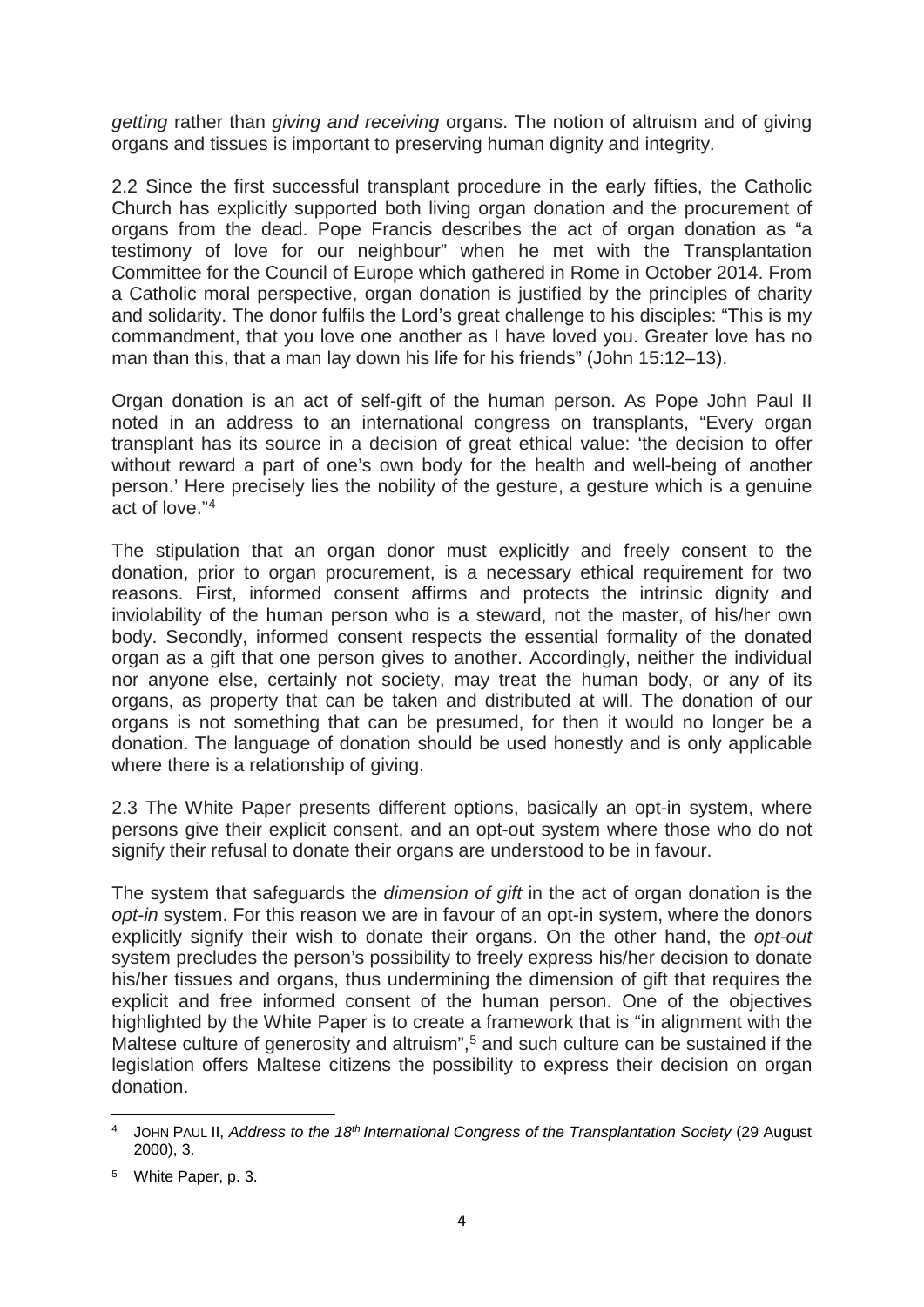*getting* rather than *giving and receiving* organs. The notion of altruism and of giving organs and tissues is important to preserving human dignity and integrity.

2.2 Since the first successful transplant procedure in the early fifties, the Catholic Church has explicitly supported both living organ donation and the procurement of organs from the dead. Pope Francis describes the act of organ donation as "a testimony of love for our neighbour" when he met with the Transplantation Committee for the Council of Europe which gathered in Rome in October 2014. From a Catholic moral perspective, organ donation is justified by the principles of charity and solidarity. The donor fulfils the Lord's great challenge to his disciples: "This is my commandment, that you love one another as I have loved you. Greater love has no man than this, that a man lay down his life for his friends" (John 15:12–13).

Organ donation is an act of self-gift of the human person. As Pope John Paul II noted in an address to an international congress on transplants, "Every organ transplant has its source in a decision of great ethical value: 'the decision to offer without reward a part of one's own body for the health and well-being of another person.' Here precisely lies the nobility of the gesture, a gesture which is a genuine act of love."[4](#page-3-0)

The stipulation that an organ donor must explicitly and freely consent to the donation, prior to organ procurement, is a necessary ethical requirement for two reasons. First, informed consent affirms and protects the intrinsic dignity and inviolability of the human person who is a steward, not the master, of his/her own body. Secondly, informed consent respects the essential formality of the donated organ as a gift that one person gives to another. Accordingly, neither the individual nor anyone else, certainly not society, may treat the human body, or any of its organs, as property that can be taken and distributed at will. The donation of our organs is not something that can be presumed, for then it would no longer be a donation. The language of donation should be used honestly and is only applicable where there is a relationship of giving.

2.3 The White Paper presents different options, basically an opt-in system, where persons give their explicit consent, and an opt-out system where those who do not signify their refusal to donate their organs are understood to be in favour.

The system that safeguards the *dimension of gift* in the act of organ donation is the *opt-in* system. For this reason we are in favour of an opt-in system, where the donors explicitly signify their wish to donate their organs. On the other hand, the *opt-out* system precludes the person's possibility to freely express his/her decision to donate his/her tissues and organs, thus undermining the dimension of gift that requires the explicit and free informed consent of the human person. One of the objectives highlighted by the White Paper is to create a framework that is "in alignment with the Maltese culture of generosity and altruism",<sup>[5](#page-3-1)</sup> and such culture can be sustained if the legislation offers Maltese citizens the possibility to express their decision on organ donation.

<span id="page-3-0"></span>JOHN PAUL II, *Address to the 18<sup>th</sup> International Congress of the Transplantation Society (29 August* 2000), 3. **.** 

<span id="page-3-1"></span><sup>5</sup> White Paper, p. 3.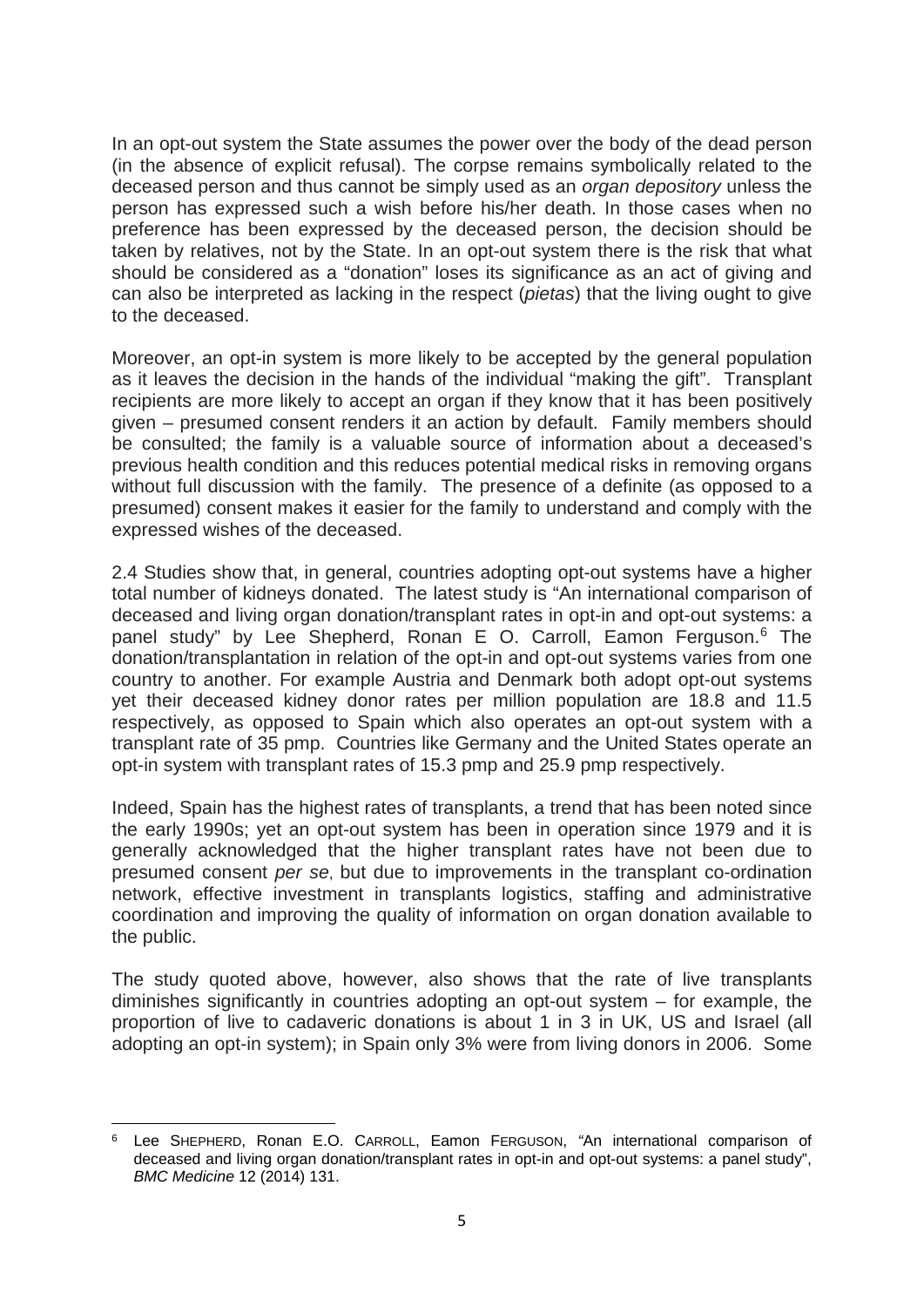In an opt-out system the State assumes the power over the body of the dead person (in the absence of explicit refusal). The corpse remains symbolically related to the deceased person and thus cannot be simply used as an *organ depository* unless the person has expressed such a wish before his/her death. In those cases when no preference has been expressed by the deceased person, the decision should be taken by relatives, not by the State. In an opt-out system there is the risk that what should be considered as a "donation" loses its significance as an act of giving and can also be interpreted as lacking in the respect (*pietas*) that the living ought to give to the deceased.

Moreover, an opt-in system is more likely to be accepted by the general population as it leaves the decision in the hands of the individual "making the gift". Transplant recipients are more likely to accept an organ if they know that it has been positively given – presumed consent renders it an action by default. Family members should be consulted; the family is a valuable source of information about a deceased's previous health condition and this reduces potential medical risks in removing organs without full discussion with the family. The presence of a definite (as opposed to a presumed) consent makes it easier for the family to understand and comply with the expressed wishes of the deceased.

2.4 Studies show that, in general, countries adopting opt-out systems have a higher total number of kidneys donated. The latest study is "An international comparison of deceased and living organ donation/transplant rates in opt-in and opt-out systems: a panel study" by Lee Shepherd, Ronan E O. Carroll, Eamon Ferguson. [6](#page-4-0) The donation/transplantation in relation of the opt-in and opt-out systems varies from one country to another. For example Austria and Denmark both adopt opt-out systems yet their deceased kidney donor rates per million population are 18.8 and 11.5 respectively, as opposed to Spain which also operates an opt-out system with a transplant rate of 35 pmp. Countries like Germany and the United States operate an opt-in system with transplant rates of 15.3 pmp and 25.9 pmp respectively.

Indeed, Spain has the highest rates of transplants, a trend that has been noted since the early 1990s; yet an opt-out system has been in operation since 1979 and it is generally acknowledged that the higher transplant rates have not been due to presumed consent *per se*, but due to improvements in the transplant co-ordination network, effective investment in transplants logistics, staffing and administrative coordination and improving the quality of information on organ donation available to the public.

The study quoted above, however, also shows that the rate of live transplants diminishes significantly in countries adopting an opt-out system – for example, the proportion of live to cadaveric donations is about 1 in 3 in UK, US and Israel (all adopting an opt-in system); in Spain only 3% were from living donors in 2006. Some

<span id="page-4-0"></span><sup>6</sup> Lee SHEPHERD, Ronan E.O. CARROLL, Eamon FERGUSON, *"*An international comparison of deceased and living organ donation/transplant rates in opt-in and opt-out systems: a panel study", *BMC Medicine* 12 (2014) 131. **.**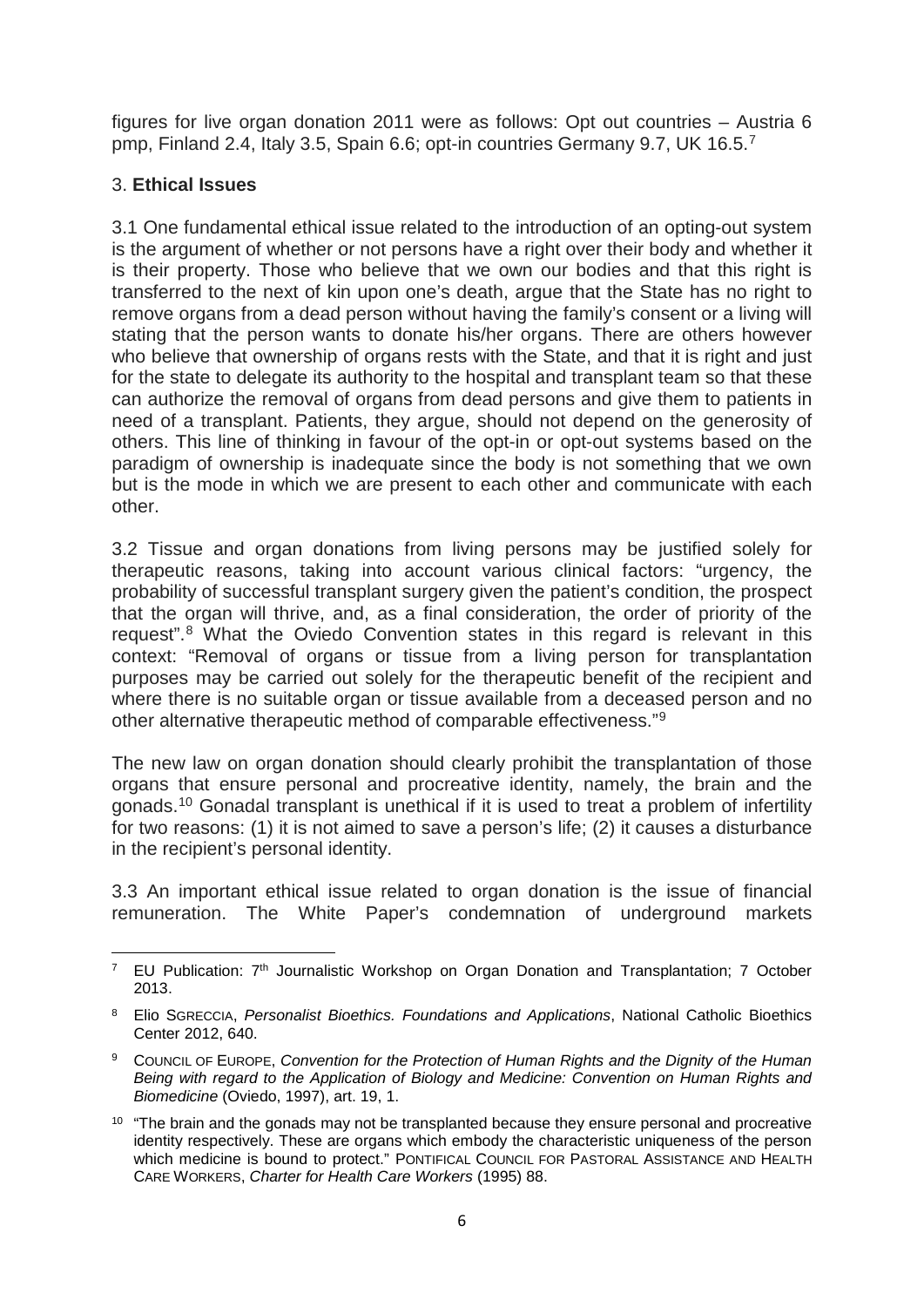figures for live organ donation 2011 were as follows: Opt out countries – Austria 6 pmp, Finland 2.4, Italy 3.5, Spain 6.6; opt-in countries Germany 9.7, UK 16.5.[7](#page-5-0)

### 3. **Ethical Issues**

3.1 One fundamental ethical issue related to the introduction of an opting-out system is the argument of whether or not persons have a right over their body and whether it is their property. Those who believe that we own our bodies and that this right is transferred to the next of kin upon one's death, argue that the State has no right to remove organs from a dead person without having the family's consent or a living will stating that the person wants to donate his/her organs. There are others however who believe that ownership of organs rests with the State, and that it is right and just for the state to delegate its authority to the hospital and transplant team so that these can authorize the removal of organs from dead persons and give them to patients in need of a transplant. Patients, they argue, should not depend on the generosity of others. This line of thinking in favour of the opt-in or opt-out systems based on the paradigm of ownership is inadequate since the body is not something that we own but is the mode in which we are present to each other and communicate with each other.

3.2 Tissue and organ donations from living persons may be justified solely for therapeutic reasons, taking into account various clinical factors: "urgency, the probability of successful transplant surgery given the patient's condition, the prospect that the organ will thrive, and, as a final consideration, the order of priority of the request".[8](#page-5-1) What the Oviedo Convention states in this regard is relevant in this context: "Removal of organs or tissue from a living person for transplantation purposes may be carried out solely for the therapeutic benefit of the recipient and where there is no suitable organ or tissue available from a deceased person and no other alternative therapeutic method of comparable effectiveness."[9](#page-5-2)

The new law on organ donation should clearly prohibit the transplantation of those organs that ensure personal and procreative identity, namely, the brain and the gonads.[10](#page-5-3) Gonadal transplant is unethical if it is used to treat a problem of infertility for two reasons: (1) it is not aimed to save a person's life; (2) it causes a disturbance in the recipient's personal identity.

3.3 An important ethical issue related to organ donation is the issue of financial remuneration. The White Paper's condemnation of underground markets

<span id="page-5-0"></span><sup>&</sup>lt;sup>7</sup> EU Publication:  $7<sup>th</sup>$  Journalistic Workshop on Organ Donation and Transplantation; 7 October 2013.  $\overline{a}$ 

<span id="page-5-1"></span><sup>8</sup> Elio SGRECCIA, *Personalist Bioethics. Foundations and Applications*, National Catholic Bioethics Center 2012, 640.

<span id="page-5-2"></span><sup>9</sup> COUNCIL OF EUROPE, *Convention for the Protection of Human Rights and the Dignity of the Human Being with regard to the Application of Biology and Medicine: Convention on Human Rights and Biomedicine* (Oviedo, 1997), art. 19, 1.

<span id="page-5-3"></span><sup>&</sup>lt;sup>10</sup> "The brain and the gonads may not be transplanted because they ensure personal and procreative identity respectively. These are organs which embody the characteristic uniqueness of the person which medicine is bound to protect." PONTIFICAL COUNCIL FOR PASTORAL ASSISTANCE AND HEALTH CARE WORKERS, *Charter for Health Care Workers* (1995) 88.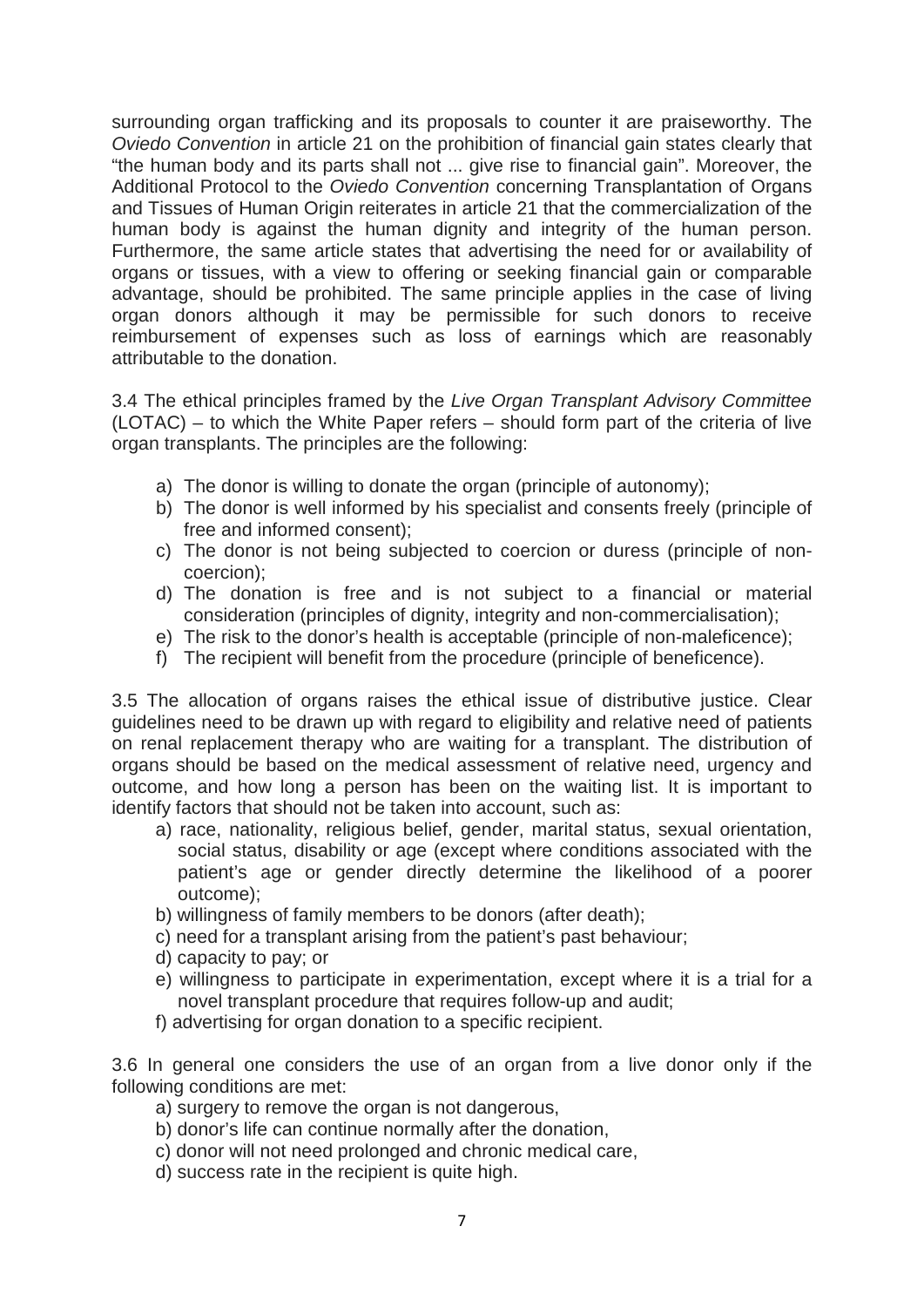surrounding organ trafficking and its proposals to counter it are praiseworthy. The *Oviedo Convention* in article 21 on the prohibition of financial gain states clearly that "the human body and its parts shall not ... give rise to financial gain". Moreover, the Additional Protocol to the *Oviedo Convention* concerning Transplantation of Organs and Tissues of Human Origin reiterates in article 21 that the commercialization of the human body is against the human dignity and integrity of the human person. Furthermore, the same article states that advertising the need for or availability of organs or tissues, with a view to offering or seeking financial gain or comparable advantage, should be prohibited. The same principle applies in the case of living organ donors although it may be permissible for such donors to receive reimbursement of expenses such as loss of earnings which are reasonably attributable to the donation.

3.4 The ethical principles framed by the *Live Organ Transplant Advisory Committee* (LOTAC) – to which the White Paper refers – should form part of the criteria of live organ transplants. The principles are the following:

- a) The donor is willing to donate the organ (principle of autonomy);
- b) The donor is well informed by his specialist and consents freely (principle of free and informed consent);
- c) The donor is not being subjected to coercion or duress (principle of noncoercion);
- d) The donation is free and is not subject to a financial or material consideration (principles of dignity, integrity and non-commercialisation);
- e) The risk to the donor's health is acceptable (principle of non-maleficence);
- f) The recipient will benefit from the procedure (principle of beneficence).

3.5 The allocation of organs raises the ethical issue of distributive justice. Clear guidelines need to be drawn up with regard to eligibility and relative need of patients on renal replacement therapy who are waiting for a transplant. The distribution of organs should be based on the medical assessment of relative need, urgency and outcome, and how long a person has been on the waiting list. It is important to identify factors that should not be taken into account, such as:

- a) race, nationality, religious belief, gender, marital status, sexual orientation, social status, disability or age (except where conditions associated with the patient's age or gender directly determine the likelihood of a poorer outcome);
- b) willingness of family members to be donors (after death);
- c) need for a transplant arising from the patient's past behaviour;
- d) capacity to pay; or
- e) willingness to participate in experimentation, except where it is a trial for a novel transplant procedure that requires follow-up and audit;
- f) advertising for organ donation to a specific recipient.

3.6 In general one considers the use of an organ from a live donor only if the following conditions are met:

- a) surgery to remove the organ is not dangerous,
- b) donor's life can continue normally after the donation,
- c) donor will not need prolonged and chronic medical care,
- d) success rate in the recipient is quite high.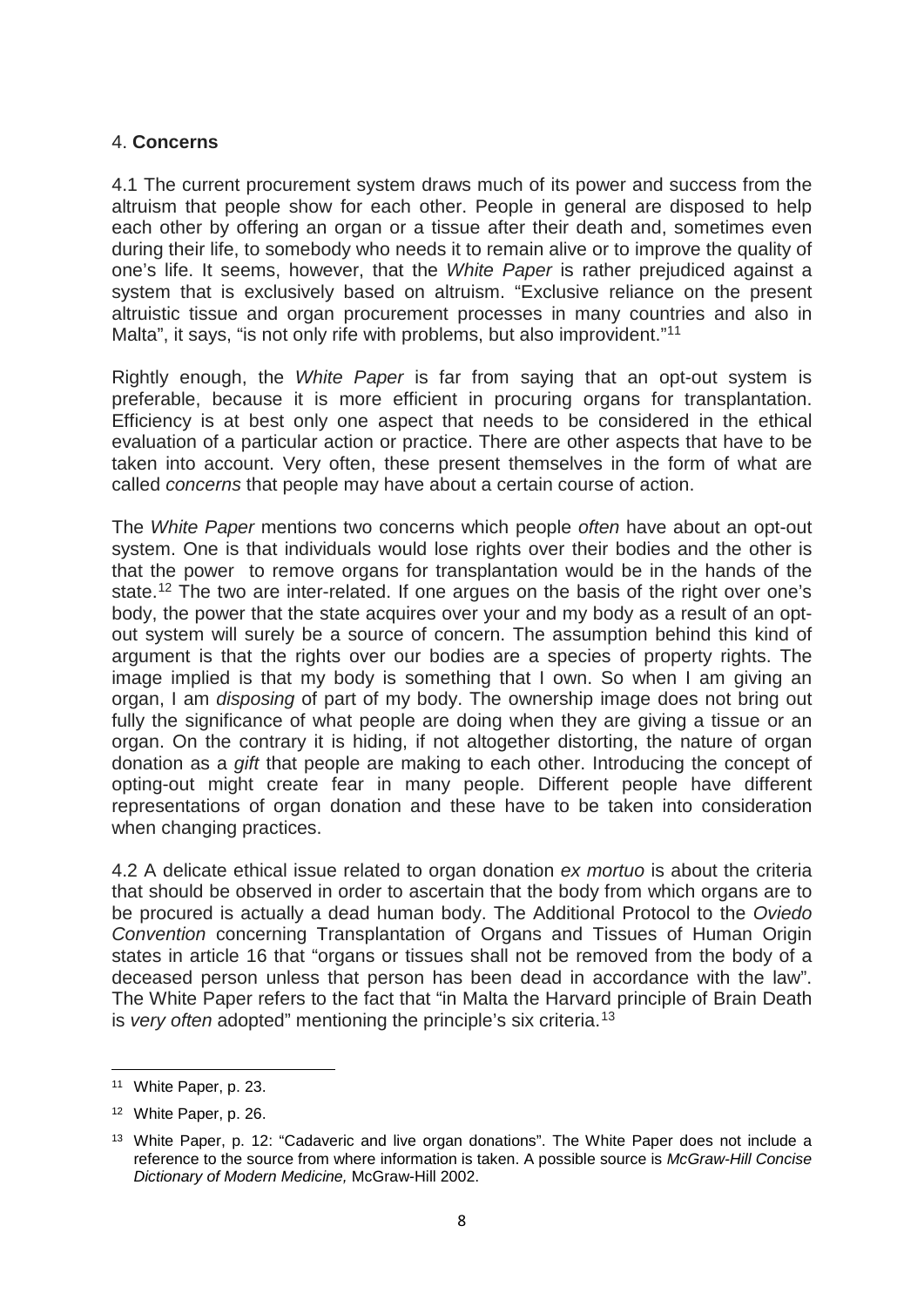#### 4. **Concerns**

4.1 The current procurement system draws much of its power and success from the altruism that people show for each other. People in general are disposed to help each other by offering an organ or a tissue after their death and, sometimes even during their life, to somebody who needs it to remain alive or to improve the quality of one's life. It seems, however, that the *White Paper* is rather prejudiced against a system that is exclusively based on altruism. "Exclusive reliance on the present altruistic tissue and organ procurement processes in many countries and also in Malta", it says, "is not only rife with problems, but also improvident."<sup>[11](#page-7-0)</sup>

Rightly enough, the *White Paper* is far from saying that an opt-out system is preferable, because it is more efficient in procuring organs for transplantation. Efficiency is at best only one aspect that needs to be considered in the ethical evaluation of a particular action or practice. There are other aspects that have to be taken into account. Very often, these present themselves in the form of what are called *concerns* that people may have about a certain course of action.

The *White Paper* mentions two concerns which people *often* have about an opt-out system. One is that individuals would lose rights over their bodies and the other is that the power to remove organs for transplantation would be in the hands of the state.<sup>[12](#page-7-1)</sup> The two are inter-related. If one argues on the basis of the right over one's body, the power that the state acquires over your and my body as a result of an optout system will surely be a source of concern. The assumption behind this kind of argument is that the rights over our bodies are a species of property rights. The image implied is that my body is something that I own. So when I am giving an organ, I am *disposing* of part of my body. The ownership image does not bring out fully the significance of what people are doing when they are giving a tissue or an organ. On the contrary it is hiding, if not altogether distorting, the nature of organ donation as a *gift* that people are making to each other. Introducing the concept of opting-out might create fear in many people. Different people have different representations of organ donation and these have to be taken into consideration when changing practices.

4.2 A delicate ethical issue related to organ donation *ex mortuo* is about the criteria that should be observed in order to ascertain that the body from which organs are to be procured is actually a dead human body. The Additional Protocol to the *Oviedo Convention* concerning Transplantation of Organs and Tissues of Human Origin states in article 16 that "organs or tissues shall not be removed from the body of a deceased person unless that person has been dead in accordance with the law". The White Paper refers to the fact that "in Malta the Harvard principle of Brain Death is *very often* adopted" mentioning the principle's six criteria.[13](#page-7-2)

 $\overline{a}$ 

<span id="page-7-0"></span><sup>11</sup> White Paper, p. 23.

<span id="page-7-1"></span><sup>12</sup> White Paper, p. 26.

<span id="page-7-2"></span><sup>&</sup>lt;sup>13</sup> White Paper, p. 12: "Cadaveric and live organ donations". The White Paper does not include a reference to the source from where information is taken. A possible source is *McGraw-Hill Concise Dictionary of Modern Medicine,* McGraw-Hill 2002.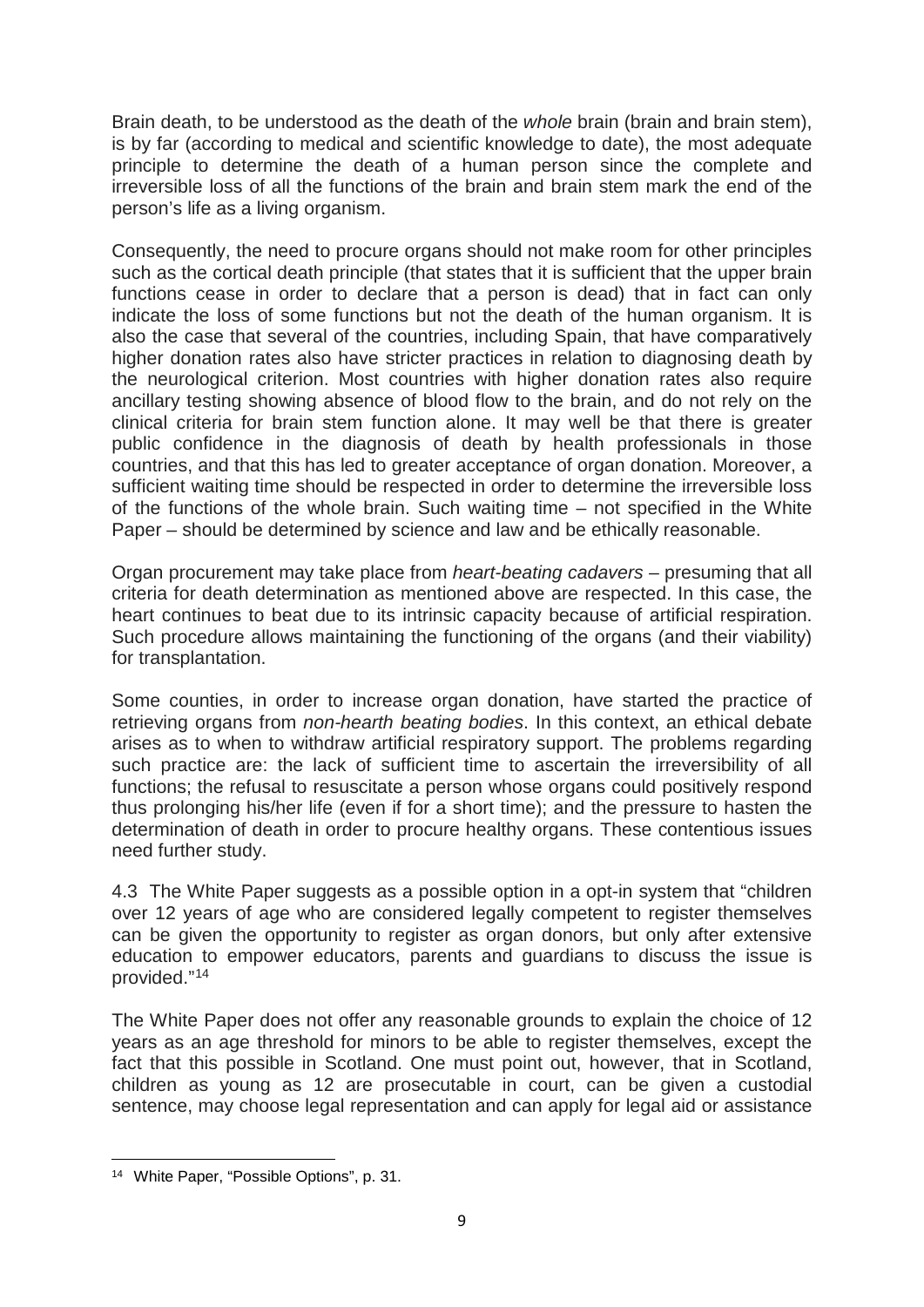Brain death, to be understood as the death of the *whole* brain (brain and brain stem), is by far (according to medical and scientific knowledge to date), the most adequate principle to determine the death of a human person since the complete and irreversible loss of all the functions of the brain and brain stem mark the end of the person's life as a living organism.

Consequently, the need to procure organs should not make room for other principles such as the cortical death principle (that states that it is sufficient that the upper brain functions cease in order to declare that a person is dead) that in fact can only indicate the loss of some functions but not the death of the human organism. It is also the case that several of the countries, including Spain, that have comparatively higher donation rates also have stricter practices in relation to diagnosing death by the neurological criterion. Most countries with higher donation rates also require ancillary testing showing absence of blood flow to the brain, and do not rely on the clinical criteria for brain stem function alone. It may well be that there is greater public confidence in the diagnosis of death by health professionals in those countries, and that this has led to greater acceptance of organ donation. Moreover, a sufficient waiting time should be respected in order to determine the irreversible loss of the functions of the whole brain. Such waiting time – not specified in the White Paper – should be determined by science and law and be ethically reasonable.

Organ procurement may take place from *heart-beating cadavers* – presuming that all criteria for death determination as mentioned above are respected. In this case, the heart continues to beat due to its intrinsic capacity because of artificial respiration. Such procedure allows maintaining the functioning of the organs (and their viability) for transplantation.

Some counties, in order to increase organ donation, have started the practice of retrieving organs from *non-hearth beating bodies*. In this context, an ethical debate arises as to when to withdraw artificial respiratory support. The problems regarding such practice are: the lack of sufficient time to ascertain the irreversibility of all functions; the refusal to resuscitate a person whose organs could positively respond thus prolonging his/her life (even if for a short time); and the pressure to hasten the determination of death in order to procure healthy organs. These contentious issues need further study.

4.3 The White Paper suggests as a possible option in a opt-in system that "children over 12 years of age who are considered legally competent to register themselves can be given the opportunity to register as organ donors, but only after extensive education to empower educators, parents and guardians to discuss the issue is provided."[14](#page-8-0)

The White Paper does not offer any reasonable grounds to explain the choice of 12 years as an age threshold for minors to be able to register themselves, except the fact that this possible in Scotland. One must point out, however, that in Scotland, children as young as 12 are prosecutable in court, can be given a custodial sentence, may choose legal representation and can apply for legal aid or assistance

**.** 

<span id="page-8-0"></span><sup>14</sup> White Paper, "Possible Options", p. 31.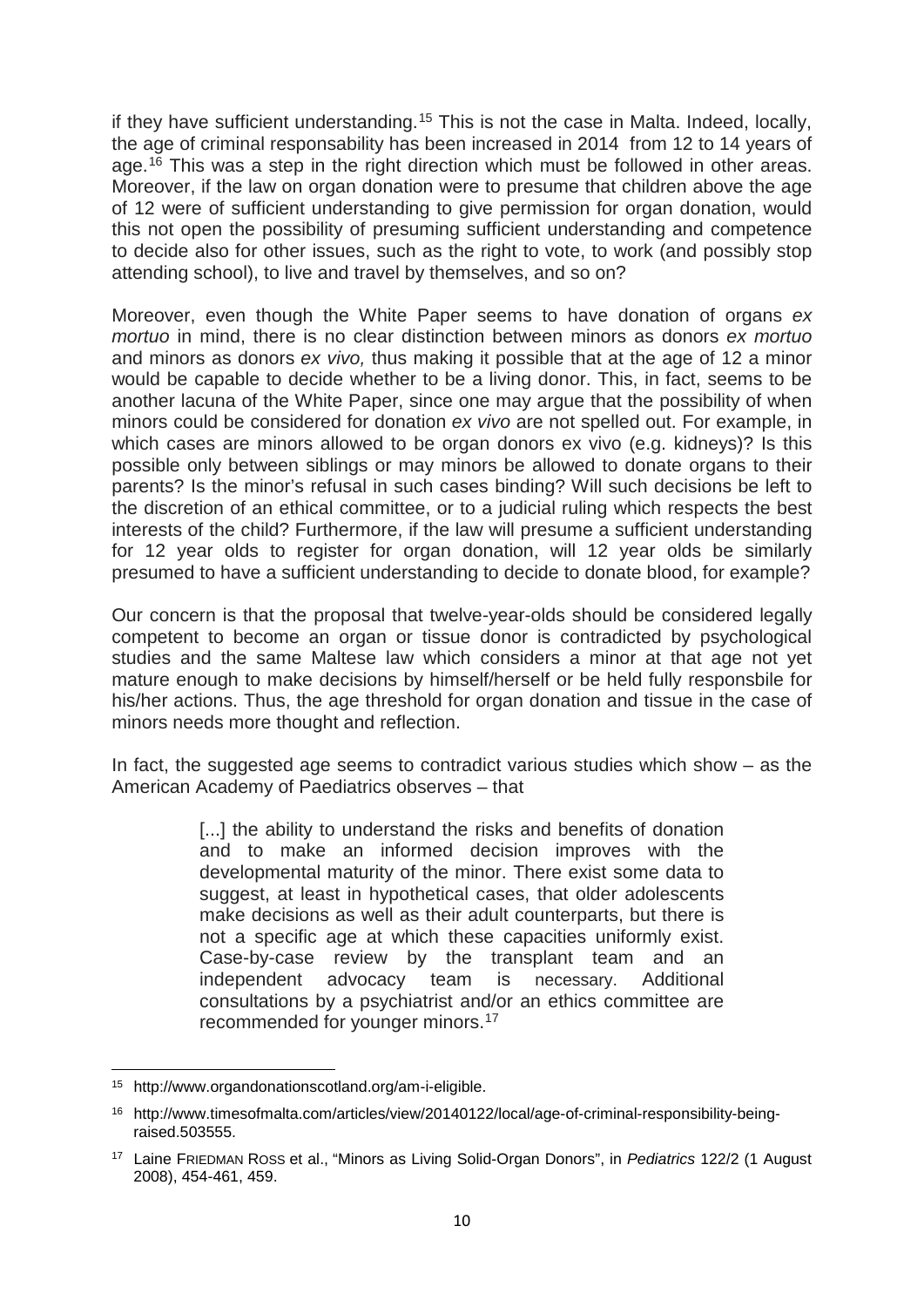if they have sufficient understanding.<sup>[15](#page-9-0)</sup> This is not the case in Malta. Indeed, locally, the age of criminal responsability has been increased in 2014 from 12 to 14 years of age.[16](#page-9-1) This was a step in the right direction which must be followed in other areas. Moreover, if the law on organ donation were to presume that children above the age of 12 were of sufficient understanding to give permission for organ donation, would this not open the possibility of presuming sufficient understanding and competence to decide also for other issues, such as the right to vote, to work (and possibly stop attending school), to live and travel by themselves, and so on?

Moreover, even though the White Paper seems to have donation of organs *ex mortuo* in mind, there is no clear distinction between minors as donors *ex mortuo* and minors as donors *ex vivo,* thus making it possible that at the age of 12 a minor would be capable to decide whether to be a living donor. This, in fact, seems to be another lacuna of the White Paper, since one may argue that the possibility of when minors could be considered for donation *ex vivo* are not spelled out. For example, in which cases are minors allowed to be organ donors ex vivo (e.g. kidneys)? Is this possible only between siblings or may minors be allowed to donate organs to their parents? Is the minor's refusal in such cases binding? Will such decisions be left to the discretion of an ethical committee, or to a judicial ruling which respects the best interests of the child? Furthermore, if the law will presume a sufficient understanding for 12 year olds to register for organ donation, will 12 year olds be similarly presumed to have a sufficient understanding to decide to donate blood, for example?

Our concern is that the proposal that twelve-year-olds should be considered legally competent to become an organ or tissue donor is contradicted by psychological studies and the same Maltese law which considers a minor at that age not yet mature enough to make decisions by himself/herself or be held fully responsbile for his/her actions. Thus, the age threshold for organ donation and tissue in the case of minors needs more thought and reflection.

In fact, the suggested age seems to contradict various studies which show – as the American Academy of Paediatrics observes – that

> [...] the ability to understand the risks and benefits of donation and to make an informed decision improves with the developmental maturity of the minor. There exist some data to suggest, at least in hypothetical cases, that older adolescents make decisions as well as their adult counterparts, but there is not a specific age at which these capacities uniformly exist. Case-by-case review by the transplant team and an independent advocacy team is necessary. Additional consultations by a psychiatrist and/or an ethics committee are recommended for younger minors.[17](#page-9-2)

<sup>15</sup> http://www.organdonationscotland.org/am-i-eligible.  $\overline{a}$ 

<span id="page-9-1"></span><span id="page-9-0"></span><sup>16</sup> http://www.timesofmalta.com/articles/view/20140122/local/age-of-criminal-responsibility-beingraised.503555.

<span id="page-9-2"></span><sup>17</sup> Laine FRIEDMAN ROSS et al., "Minors as Living Solid-Organ Donors", in *Pediatrics* 122/2 (1 August 2008), 454-461, 459.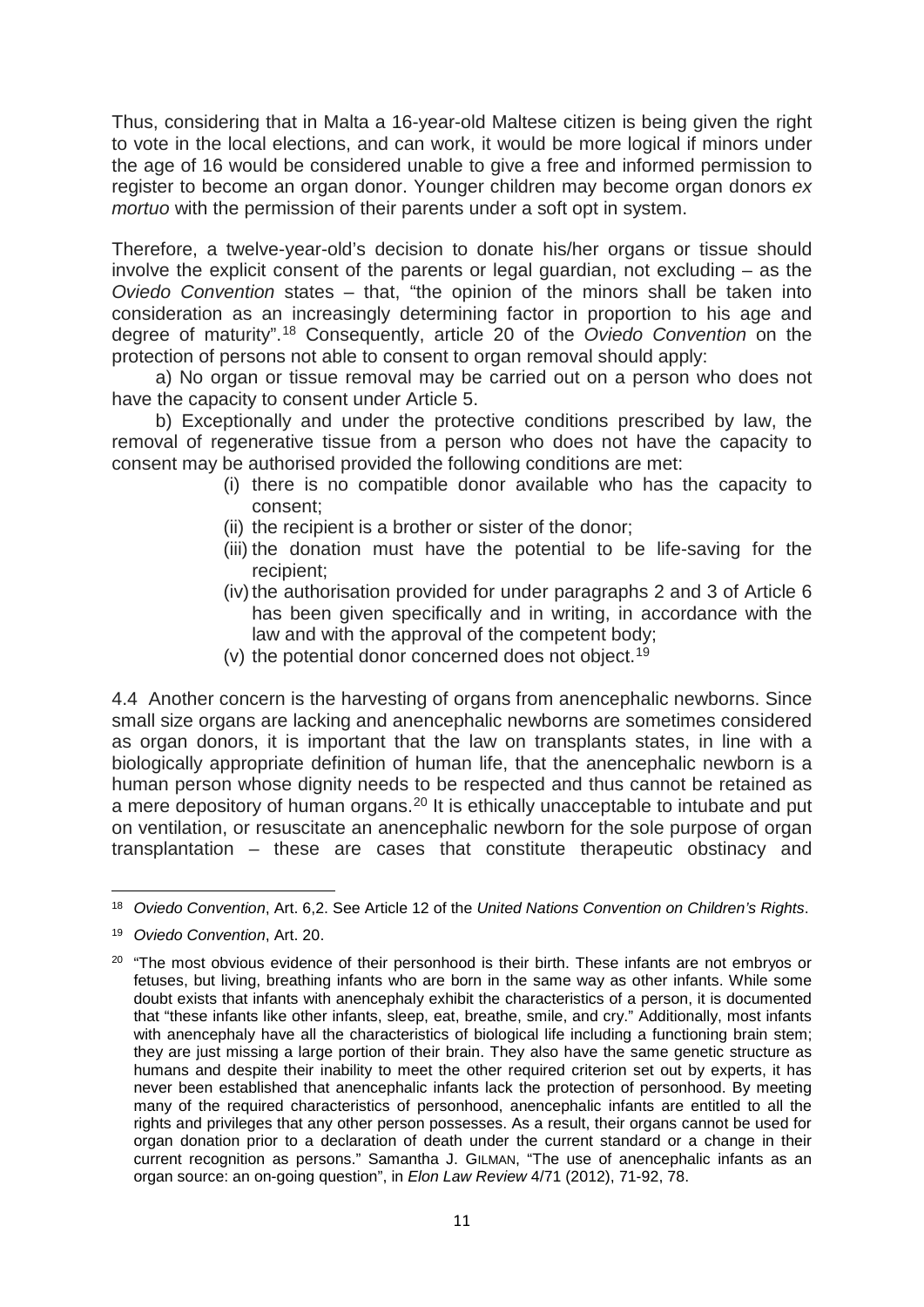Thus, considering that in Malta a 16-year-old Maltese citizen is being given the right to vote in the local elections, and can work, it would be more logical if minors under the age of 16 would be considered unable to give a free and informed permission to register to become an organ donor. Younger children may become organ donors *ex mortuo* with the permission of their parents under a soft opt in system.

Therefore, a twelve-year-old's decision to donate his/her organs or tissue should involve the explicit consent of the parents or legal guardian, not excluding – as the *Oviedo Convention* states – that, "the opinion of the minors shall be taken into consideration as an increasingly determining factor in proportion to his age and degree of maturity".[18](#page-10-0) Consequently, article 20 of the *Oviedo Convention* on the protection of persons not able to consent to organ removal should apply:

a) No organ or tissue removal may be carried out on a person who does not have the capacity to consent under Article 5.

b) Exceptionally and under the protective conditions prescribed by law, the removal of regenerative tissue from a person who does not have the capacity to consent may be authorised provided the following conditions are met:

- (i) there is no compatible donor available who has the capacity to consent;
- (ii) the recipient is a brother or sister of the donor;
- (iii) the donation must have the potential to be life-saving for the recipient;
- (iv) the authorisation provided for under paragraphs 2 and 3 of Article  $6$ has been given specifically and in writing, in accordance with the law and with the approval of the competent body;
- (v) the potential donor concerned does not object.<sup>[19](#page-10-1)</sup>

4.4 Another concern is the harvesting of organs from anencephalic newborns. Since small size organs are lacking and anencephalic newborns are sometimes considered as organ donors, it is important that the law on transplants states, in line with a biologically appropriate definition of human life, that the anencephalic newborn is a human person whose dignity needs to be respected and thus cannot be retained as a mere depository of human organs.<sup>[20](#page-10-2)</sup> It is ethically unacceptable to intubate and put on ventilation, or resuscitate an anencephalic newborn for the sole purpose of organ transplantation – these are cases that constitute therapeutic obstinacy and

<sup>18</sup> *Oviedo Convention*, Art. 6,2. See Article 12 of the *United Nations Convention on Children's Rights*. **.** 

<span id="page-10-1"></span><span id="page-10-0"></span><sup>19</sup> *Oviedo Convention*, Art. 20.

<span id="page-10-2"></span><sup>&</sup>lt;sup>20</sup> "The most obvious evidence of their personhood is their birth. These infants are not embryos or fetuses, but living, breathing infants who are born in the same way as other infants. While some doubt exists that infants with anencephaly exhibit the characteristics of a person, it is documented that "these infants like other infants, sleep, eat, breathe, smile, and cry." Additionally, most infants with anencephaly have all the characteristics of biological life including a functioning brain stem; they are just missing a large portion of their brain. They also have the same genetic structure as humans and despite their inability to meet the other required criterion set out by experts, it has never been established that anencephalic infants lack the protection of personhood. By meeting many of the required characteristics of personhood, anencephalic infants are entitled to all the rights and privileges that any other person possesses. As a result, their organs cannot be used for organ donation prior to a declaration of death under the current standard or a change in their current recognition as persons." Samantha J. GILMAN, "The use of anencephalic infants as an organ source: an on-going question", in *Elon Law Review* 4/71 (2012), 71-92, 78.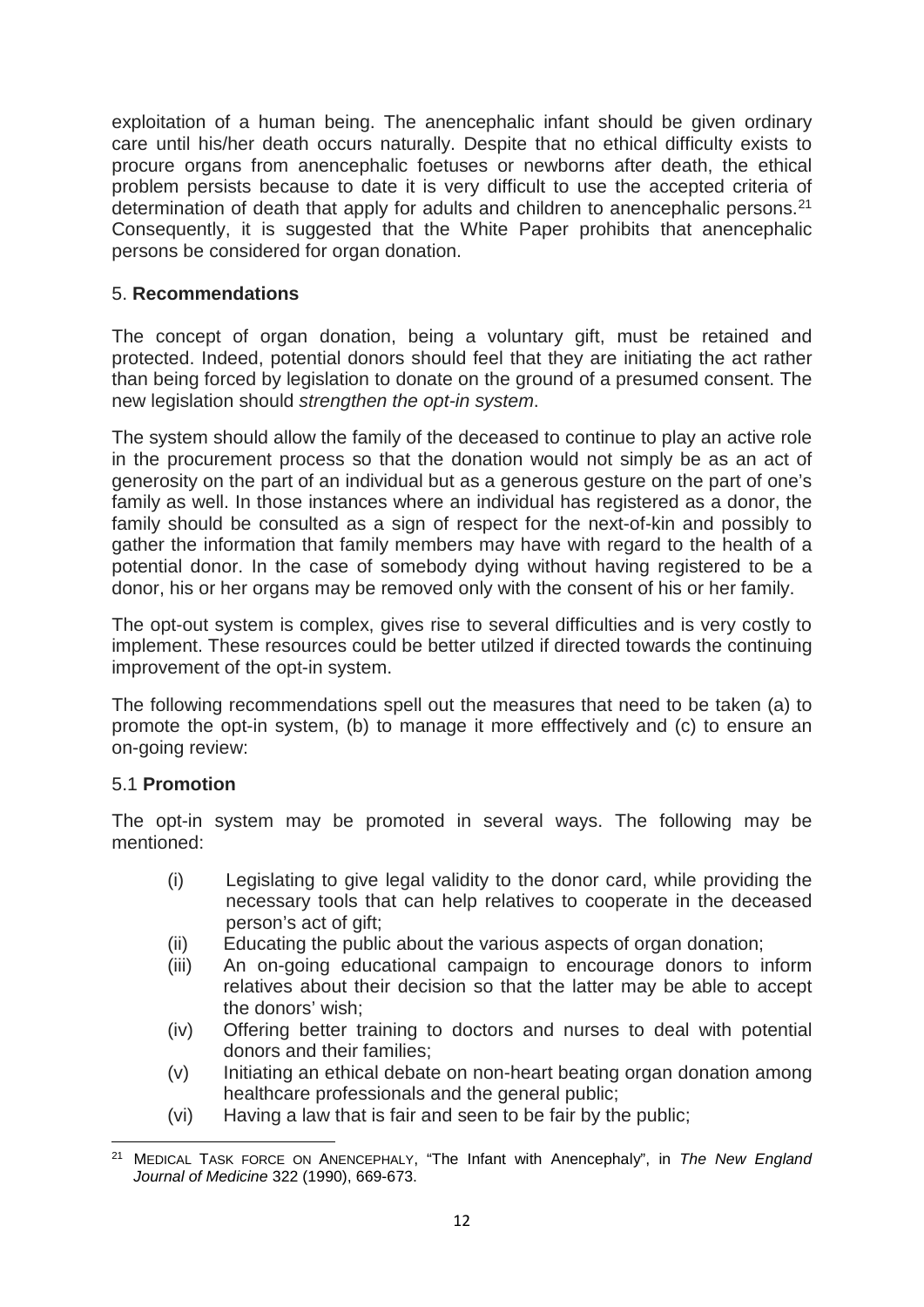exploitation of a human being. The anencephalic infant should be given ordinary care until his/her death occurs naturally. Despite that no ethical difficulty exists to procure organs from anencephalic foetuses or newborns after death, the ethical problem persists because to date it is very difficult to use the accepted criteria of determination of death that apply for adults and children to anencephalic persons.<sup>21</sup> Consequently, it is suggested that the White Paper prohibits that anencephalic persons be considered for organ donation.

# 5. **Recommendations**

The concept of organ donation, being a voluntary gift, must be retained and protected. Indeed, potential donors should feel that they are initiating the act rather than being forced by legislation to donate on the ground of a presumed consent. The new legislation should *strengthen the opt-in system*.

The system should allow the family of the deceased to continue to play an active role in the procurement process so that the donation would not simply be as an act of generosity on the part of an individual but as a generous gesture on the part of one's family as well. In those instances where an individual has registered as a donor, the family should be consulted as a sign of respect for the next-of-kin and possibly to gather the information that family members may have with regard to the health of a potential donor. In the case of somebody dying without having registered to be a donor, his or her organs may be removed only with the consent of his or her family.

The opt-out system is complex, gives rise to several difficulties and is very costly to implement. These resources could be better utilzed if directed towards the continuing improvement of the opt-in system.

The following recommendations spell out the measures that need to be taken (a) to promote the opt-in system, (b) to manage it more efffectively and (c) to ensure an on-going review:

# 5.1 **Promotion**

The opt-in system may be promoted in several ways. The following may be mentioned:

- (i) Legislating to give legal validity to the donor card, while providing the necessary tools that can help relatives to cooperate in the deceased person's act of gift;
- (ii) Educating the public about the various aspects of organ donation;
- (iii) An on-going educational campaign to encourage donors to inform relatives about their decision so that the latter may be able to accept the donors' wish;
- (iv) Offering better training to doctors and nurses to deal with potential donors and their families;
- (v) Initiating an ethical debate on non-heart beating organ donation among healthcare professionals and the general public;
- (vi) Having a law that is fair and seen to be fair by the public;

<span id="page-11-0"></span><sup>21</sup> MEDICAL TASK FORCE ON ANENCEPHALY, "The Infant with Anencephaly", in *The New England Journal of Medicine* 322 (1990), 669-673.  $\overline{a}$